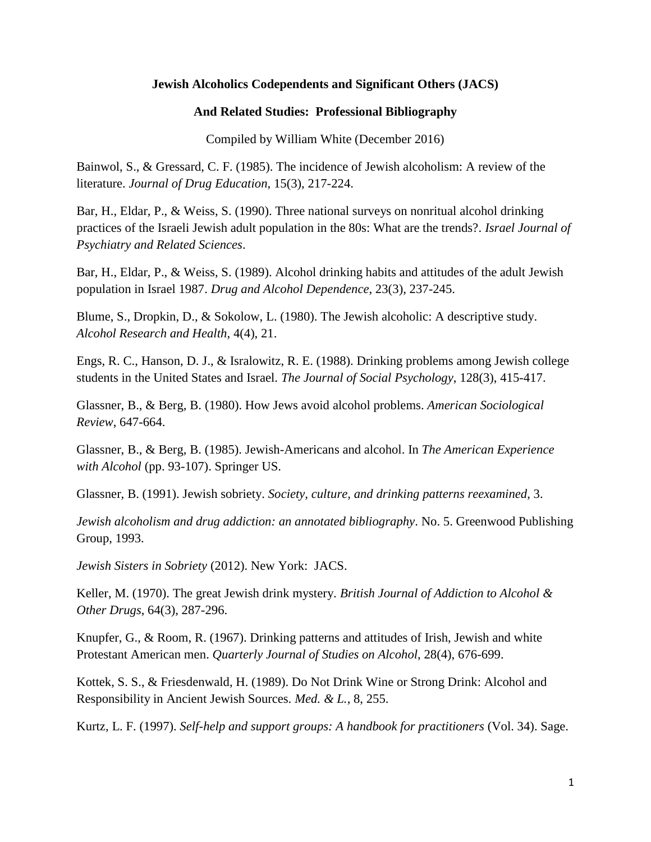## **Jewish Alcoholics Codependents and Significant Others (JACS)**

## **And Related Studies: Professional Bibliography**

Compiled by William White (December 2016)

Bainwol, S., & Gressard, C. F. (1985). The incidence of Jewish alcoholism: A review of the literature. *Journal of Drug Education*, 15(3), 217-224.

Bar, H., Eldar, P., & Weiss, S. (1990). Three national surveys on nonritual alcohol drinking practices of the Israeli Jewish adult population in the 80s: What are the trends?. *Israel Journal of Psychiatry and Related Sciences*.

Bar, H., Eldar, P., & Weiss, S. (1989). Alcohol drinking habits and attitudes of the adult Jewish population in Israel 1987. *Drug and Alcohol Dependence*, 23(3), 237-245.

Blume, S., Dropkin, D., & Sokolow, L. (1980). The Jewish alcoholic: A descriptive study. *Alcohol Research and Health*, 4(4), 21.

Engs, R. C., Hanson, D. J., & Isralowitz, R. E. (1988). Drinking problems among Jewish college students in the United States and Israel. *The Journal of Social Psychology*, 128(3), 415-417.

Glassner, B., & Berg, B. (1980). How Jews avoid alcohol problems. *American Sociological Review*, 647-664.

Glassner, B., & Berg, B. (1985). Jewish-Americans and alcohol. In *The American Experience with Alcohol* (pp. 93-107). Springer US.

Glassner, B. (1991). Jewish sobriety. *Society, culture, and drinking patterns reexamined*, 3.

*Jewish alcoholism and drug addiction: an annotated bibliography*. No. 5. Greenwood Publishing Group, 1993.

*Jewish Sisters in Sobriety* (2012). New York: JACS.

Keller, M. (1970). The great Jewish drink mystery. *British Journal of Addiction to Alcohol & Other Drugs*, 64(3), 287-296.

Knupfer, G., & Room, R. (1967). Drinking patterns and attitudes of Irish, Jewish and white Protestant American men. *Quarterly Journal of Studies on Alcohol*, 28(4), 676-699.

Kottek, S. S., & Friesdenwald, H. (1989). Do Not Drink Wine or Strong Drink: Alcohol and Responsibility in Ancient Jewish Sources. *Med. & L.*, 8, 255.

Kurtz, L. F. (1997). *Self-help and support groups: A handbook for practitioners* (Vol. 34). Sage.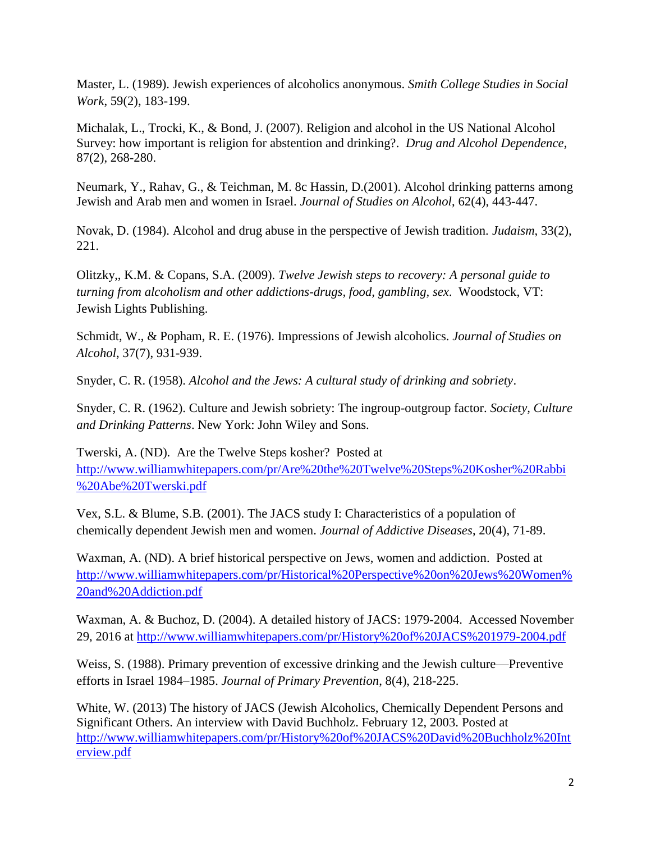Master, L. (1989). Jewish experiences of alcoholics anonymous. *Smith College Studies in Social Work*, 59(2), 183-199.

Michalak, L., Trocki, K., & Bond, J. (2007). Religion and alcohol in the US National Alcohol Survey: how important is religion for abstention and drinking?. *Drug and Alcohol Dependence*, 87(2), 268-280.

Neumark, Y., Rahav, G., & Teichman, M. 8c Hassin, D.(2001). Alcohol drinking patterns among Jewish and Arab men and women in Israel. *Journal of Studies on Alcohol*, 62(4), 443-447.

Novak, D. (1984). Alcohol and drug abuse in the perspective of Jewish tradition. *Judaism*, 33(2), 221.

Olitzky,, K.M. & Copans, S.A. (2009). *Twelve Jewish steps to recovery: A personal guide to turning from alcoholism and other addictions-drugs, food, gambling, sex*. Woodstock, VT: Jewish Lights Publishing.

Schmidt, W., & Popham, R. E. (1976). Impressions of Jewish alcoholics. *Journal of Studies on Alcohol*, 37(7), 931-939.

Snyder, C. R. (1958). *Alcohol and the Jews: A cultural study of drinking and sobriety*.

Snyder, C. R. (1962). Culture and Jewish sobriety: The ingroup-outgroup factor. *Society, Culture and Drinking Patterns*. New York: John Wiley and Sons.

Twerski, A. (ND). Are the Twelve Steps kosher? Posted at [http://www.williamwhitepapers.com/pr/Are%20the%20Twelve%20Steps%20Kosher%20Rabbi](http://www.williamwhitepapers.com/pr/Are%20the%20Twelve%20Steps%20Kosher%20Rabbi%20Abe%20Twerski.pdf) [%20Abe%20Twerski.pdf](http://www.williamwhitepapers.com/pr/Are%20the%20Twelve%20Steps%20Kosher%20Rabbi%20Abe%20Twerski.pdf)

Vex, S.L. & Blume, S.B. (2001). The JACS study I: Characteristics of a population of chemically dependent Jewish men and women. *Journal of Addictive Diseases*, 20(4), 71-89.

Waxman, A. (ND). A brief historical perspective on Jews, women and addiction. Posted at [http://www.williamwhitepapers.com/pr/Historical%20Perspective%20on%20Jews%20Women%](http://www.williamwhitepapers.com/pr/Historical%20Perspective%20on%20Jews%20Women%20and%20Addiction.pdf) [20and%20Addiction.pdf](http://www.williamwhitepapers.com/pr/Historical%20Perspective%20on%20Jews%20Women%20and%20Addiction.pdf)

Waxman, A. & Buchoz, D. (2004). A detailed history of JACS: 1979-2004. Accessed November 29, 2016 at<http://www.williamwhitepapers.com/pr/History%20of%20JACS%201979-2004.pdf>

Weiss, S. (1988). Primary prevention of excessive drinking and the Jewish culture—Preventive efforts in Israel 1984–1985. *Journal of Primary Prevention*, 8(4), 218-225.

White, W. (2013) The history of JACS (Jewish Alcoholics, Chemically Dependent Persons and Significant Others. An interview with David Buchholz. February 12, 2003. Posted at [http://www.williamwhitepapers.com/pr/History%20of%20JACS%20David%20Buchholz%20Int](http://www.williamwhitepapers.com/pr/History%20of%20JACS%20David%20Buchholz%20Interview.pdf) [erview.pdf](http://www.williamwhitepapers.com/pr/History%20of%20JACS%20David%20Buchholz%20Interview.pdf)